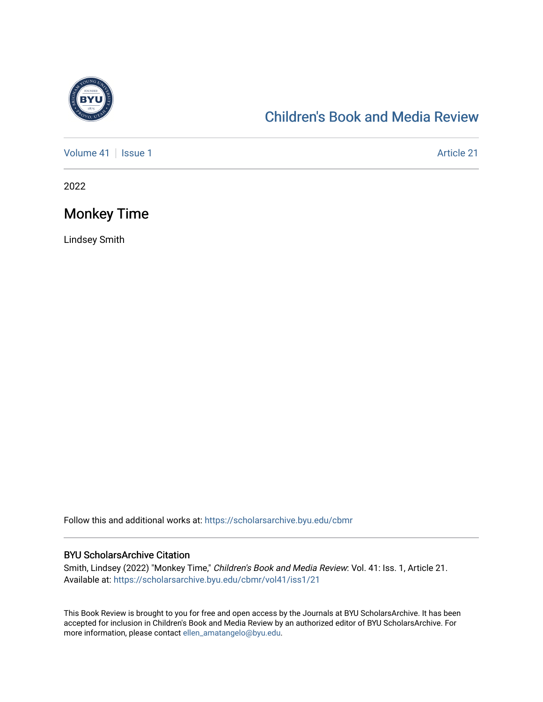

# [Children's Book and Media Review](https://scholarsarchive.byu.edu/cbmr)

[Volume 41](https://scholarsarchive.byu.edu/cbmr/vol41) | [Issue 1](https://scholarsarchive.byu.edu/cbmr/vol41/iss1) Article 21

2022

# Monkey Time

Lindsey Smith

Follow this and additional works at: [https://scholarsarchive.byu.edu/cbmr](https://scholarsarchive.byu.edu/cbmr?utm_source=scholarsarchive.byu.edu%2Fcbmr%2Fvol41%2Fiss1%2F21&utm_medium=PDF&utm_campaign=PDFCoverPages) 

#### BYU ScholarsArchive Citation

Smith, Lindsey (2022) "Monkey Time," Children's Book and Media Review: Vol. 41: Iss. 1, Article 21. Available at: [https://scholarsarchive.byu.edu/cbmr/vol41/iss1/21](https://scholarsarchive.byu.edu/cbmr/vol41/iss1/21?utm_source=scholarsarchive.byu.edu%2Fcbmr%2Fvol41%2Fiss1%2F21&utm_medium=PDF&utm_campaign=PDFCoverPages)

This Book Review is brought to you for free and open access by the Journals at BYU ScholarsArchive. It has been accepted for inclusion in Children's Book and Media Review by an authorized editor of BYU ScholarsArchive. For more information, please contact [ellen\\_amatangelo@byu.edu.](mailto:ellen_amatangelo@byu.edu)